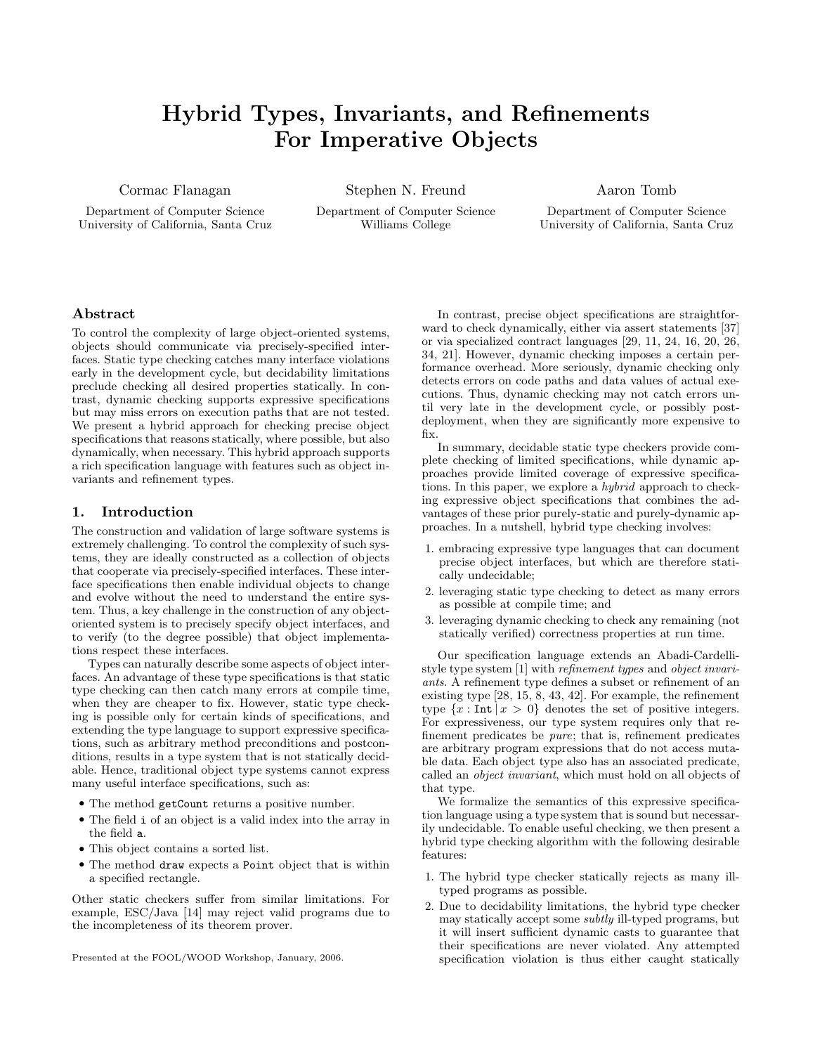# Hybrid Types, Invariants, and Refinements For Imperative Objects

Cormac Flanagan

Department of Computer Science University of California, Santa Cruz Stephen N. Freund

Department of Computer Science Williams College

Aaron Tomb

Department of Computer Science University of California, Santa Cruz

# Abstract

To control the complexity of large object-oriented systems, objects should communicate via precisely-specified interfaces. Static type checking catches many interface violations early in the development cycle, but decidability limitations preclude checking all desired properties statically. In contrast, dynamic checking supports expressive specifications but may miss errors on execution paths that are not tested. We present a hybrid approach for checking precise object specifications that reasons statically, where possible, but also dynamically, when necessary. This hybrid approach supports a rich specification language with features such as object invariants and refinement types.

# 1. Introduction

The construction and validation of large software systems is extremely challenging. To control the complexity of such systems, they are ideally constructed as a collection of objects that cooperate via precisely-specified interfaces. These interface specifications then enable individual objects to change and evolve without the need to understand the entire system. Thus, a key challenge in the construction of any objectoriented system is to precisely specify object interfaces, and to verify (to the degree possible) that object implementations respect these interfaces.

Types can naturally describe some aspects of object interfaces. An advantage of these type specifications is that static type checking can then catch many errors at compile time, when they are cheaper to fix. However, static type checking is possible only for certain kinds of specifications, and extending the type language to support expressive specifications, such as arbitrary method preconditions and postconditions, results in a type system that is not statically decidable. Hence, traditional object type systems cannot express many useful interface specifications, such as:

- The method getCount returns a positive number.
- The field i of an object is a valid index into the array in the field a.
- This object contains a sorted list.
- The method draw expects a Point object that is within a specified rectangle.

Other static checkers suffer from similar limitations. For example, ESC/Java [14] may reject valid programs due to the incompleteness of its theorem prover.

Presented at the FOOL/WOOD Workshop, January, 2006.

In contrast, precise object specifications are straightforward to check dynamically, either via assert statements [37] or via specialized contract languages [29, 11, 24, 16, 20, 26, 34, 21]. However, dynamic checking imposes a certain performance overhead. More seriously, dynamic checking only detects errors on code paths and data values of actual executions. Thus, dynamic checking may not catch errors until very late in the development cycle, or possibly postdeployment, when they are significantly more expensive to fix.

In summary, decidable static type checkers provide complete checking of limited specifications, while dynamic approaches provide limited coverage of expressive specifications. In this paper, we explore a hybrid approach to checking expressive object specifications that combines the advantages of these prior purely-static and purely-dynamic approaches. In a nutshell, hybrid type checking involves:

- 1. embracing expressive type languages that can document precise object interfaces, but which are therefore statically undecidable;
- 2. leveraging static type checking to detect as many errors as possible at compile time; and
- 3. leveraging dynamic checking to check any remaining (not statically verified) correctness properties at run time.

Our specification language extends an Abadi-Cardellistyle type system [1] with refinement types and object invariants. A refinement type defines a subset or refinement of an existing type [28, 15, 8, 43, 42]. For example, the refinement type  $\{x : \text{Int} \mid x > 0\}$  denotes the set of positive integers. For expressiveness, our type system requires only that refinement predicates be pure; that is, refinement predicates are arbitrary program expressions that do not access mutable data. Each object type also has an associated predicate, called an object invariant, which must hold on all objects of that type.

We formalize the semantics of this expressive specification language using a type system that is sound but necessarily undecidable. To enable useful checking, we then present a hybrid type checking algorithm with the following desirable features:

- 1. The hybrid type checker statically rejects as many illtyped programs as possible.
- 2. Due to decidability limitations, the hybrid type checker may statically accept some subtly ill-typed programs, but it will insert sufficient dynamic casts to guarantee that their specifications are never violated. Any attempted specification violation is thus either caught statically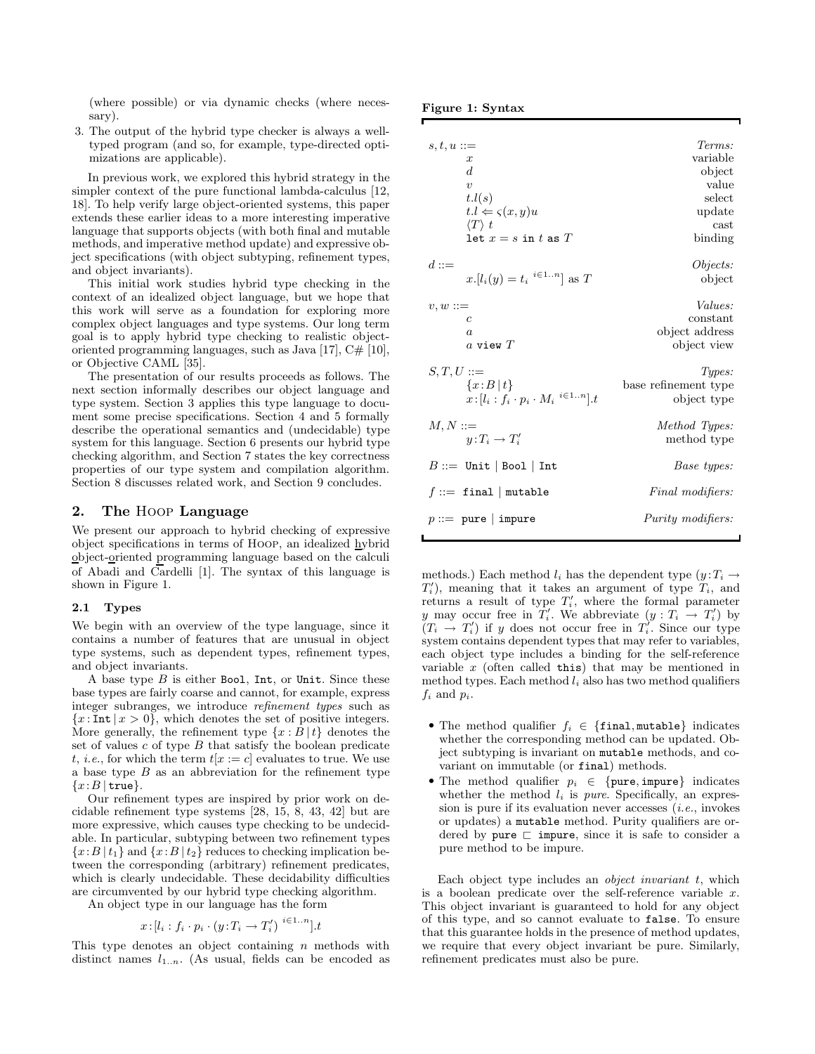(where possible) or via dynamic checks (where necessary).

3. The output of the hybrid type checker is always a welltyped program (and so, for example, type-directed optimizations are applicable).

In previous work, we explored this hybrid strategy in the simpler context of the pure functional lambda-calculus [12, 18]. To help verify large object-oriented systems, this paper extends these earlier ideas to a more interesting imperative language that supports objects (with both final and mutable methods, and imperative method update) and expressive object specifications (with object subtyping, refinement types, and object invariants).

This initial work studies hybrid type checking in the context of an idealized object language, but we hope that this work will serve as a foundation for exploring more complex object languages and type systems. Our long term goal is to apply hybrid type checking to realistic objectoriented programming languages, such as Java  $[17]$ ,  $C# [10]$ , or Objective CAML [35].

The presentation of our results proceeds as follows. The next section informally describes our object language and type system. Section 3 applies this type language to document some precise specifications. Section 4 and 5 formally describe the operational semantics and (undecidable) type system for this language. Section 6 presents our hybrid type checking algorithm, and Section 7 states the key correctness properties of our type system and compilation algorithm. Section 8 discusses related work, and Section 9 concludes.

# 2. The Hoop Language

We present our approach to hybrid checking of expressive object specifications in terms of Hoop, an idealized hybrid object-oriented programming language based on the calculi of Abadi and Cardelli [1]. The syntax of this language is shown in Figure 1.

## 2.1 Types

We begin with an overview of the type language, since it contains a number of features that are unusual in object type systems, such as dependent types, refinement types, and object invariants.

A base type  $B$  is either Bool, Int, or Unit. Since these base types are fairly coarse and cannot, for example, express integer subranges, we introduce refinement types such as  ${x : Int | x > 0}$ , which denotes the set of positive integers. More generally, the refinement type  $\{x : B | t\}$  denotes the set of values  $c$  of type  $B$  that satisfy the boolean predicate t, *i.e.*, for which the term  $t[x := c]$  evaluates to true. We use a base type  $B$  as an abbreviation for the refinement type  ${x:B | true}.$ 

Our refinement types are inspired by prior work on decidable refinement type systems [28, 15, 8, 43, 42] but are more expressive, which causes type checking to be undecidable. In particular, subtyping between two refinement types  ${x:B | t_1}$  and  ${x:B | t_2}$  reduces to checking implication between the corresponding (arbitrary) refinement predicates, which is clearly undecidable. These decidability difficulties are circumvented by our hybrid type checking algorithm.

An object type in our language has the form

$$
x:[l_i: f_i\cdot p_i\cdot (y:T_i\rightarrow T_i')\stackrel{i\in 1..n}{\ldots}].t
$$

<sup>i</sup>∈1..n].t

This type denotes an object containing  $n$  methods with distinct names  $l_{1..n}$ . (As usual, fields can be encoded as

|  | Figure 1: Syntax |
|--|------------------|
|  |                  |

| $s,t,u ::=$                                                       | Terms:               |
|-------------------------------------------------------------------|----------------------|
| $\boldsymbol{x}$                                                  | variable             |
| d.                                                                | object               |
| $\boldsymbol{v}$                                                  | value                |
| t.l(s)                                                            | select               |
| $t.l \Leftarrow \varsigma(x, y)u$                                 | update               |
| $\langle T \rangle t$                                             | cast                 |
| let $x = s$ in t as T                                             | binding              |
| $d ::=$                                                           | Objects:             |
| $x.[l_i(y) = t_i \binom{i \in 1n}{i}$ as T                        | object               |
| $v, w ::=$                                                        | <i>Values:</i>       |
| $\mathfrak{c}$                                                    | constant             |
| $\alpha$                                                          | object address       |
| a view $T$                                                        | object view          |
| $S,T,U ::=$                                                       | Types:               |
| ${x:B t}$                                                         | base refinement type |
| $x:[l_i : f_i \cdot p_i \cdot M_i \stackrel{i \in 1n}{\ldots}].t$ | object type          |
| $M, N ::=$                                                        | Method Types:        |
| $u:T_i\to T'_i$                                                   | method type          |
| $B ::=$ Unit   Bool   Int                                         | Base types:          |
| $f ::=$ final   mutable                                           | Final modifiers:     |
| $p ::=$ pure   impure                                             | Purity modifiers:    |

methods.) Each method  $l_i$  has the dependent type  $(y:T_i\rightarrow$  $T'_{i}$ ), meaning that it takes an argument of type  $T_{i}$ , and returns a result of type  $T_i'$ , where the formal parameter y may occur free in  $T_i'$ . We abbreviate  $(y: T_i \to T_i')$  by  $(T_i \rightarrow T'_i)$  if y does not occur free in  $T'_i$ . Since our type system contains dependent types that may refer to variables, each object type includes a binding for the self-reference variable  $x$  (often called this) that may be mentioned in method types. Each method  $l_i$  also has two method qualifiers  $f_i$  and  $p_i$ .

- The method qualifier  $f_i \in \{\text{final}, \text{mutable}\}\$ indicates whether the corresponding method can be updated. Object subtyping is invariant on mutable methods, and covariant on immutable (or final) methods.
- The method qualifier  $p_i \in \{pure, impure\}$  indicates whether the method  $l_i$  is *pure*. Specifically, an expression is pure if its evaluation never accesses  $(i.e.,$  invokes or updates) a mutable method. Purity qualifiers are ordered by pure  $\sqsubset$  impure, since it is safe to consider a pure method to be impure.

Each object type includes an *object invariant t*, which is a boolean predicate over the self-reference variable x. This object invariant is guaranteed to hold for any object of this type, and so cannot evaluate to false. To ensure that this guarantee holds in the presence of method updates, we require that every object invariant be pure. Similarly, refinement predicates must also be pure.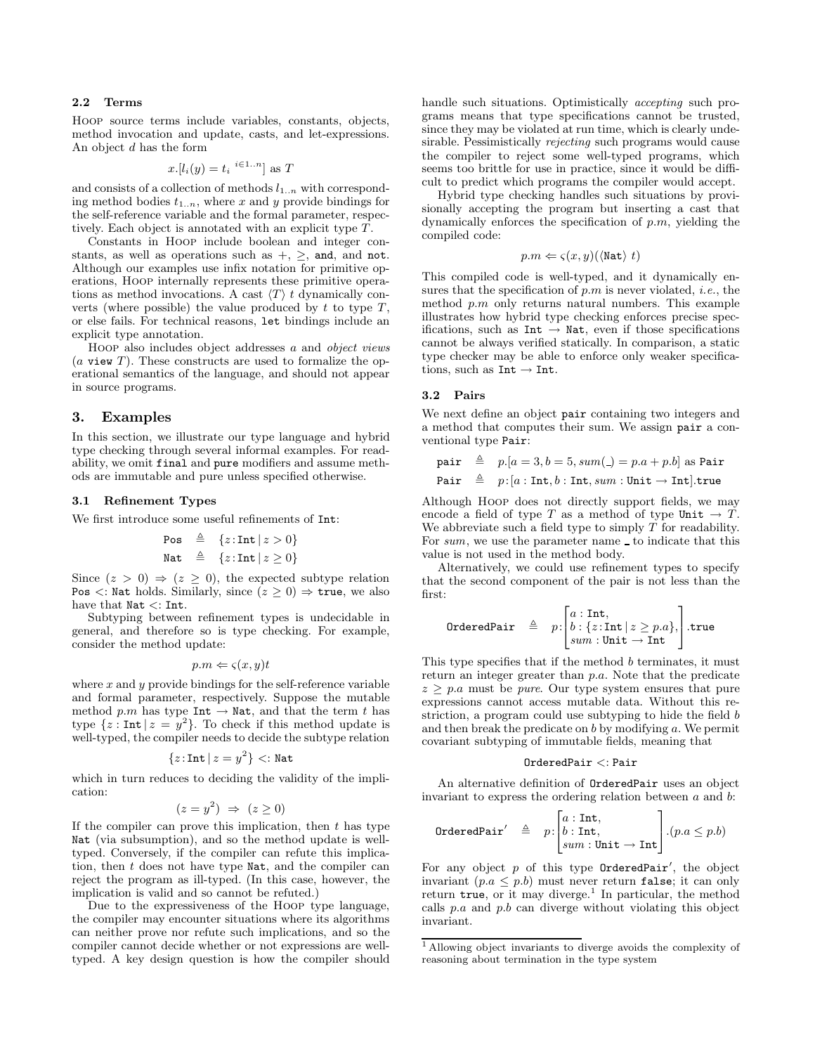## 2.2 Terms

Hoop source terms include variables, constants, objects, method invocation and update, casts, and let-expressions. An object d has the form

$$
x.[l_i(y) = t_i \ {}^{i \in 1..n}] \text{ as } T
$$

and consists of a collection of methods  $l_{1..n}$  with corresponding method bodies  $t_{1..n}$ , where x and y provide bindings for the self-reference variable and the formal parameter, respectively. Each object is annotated with an explicit type T.

Constants in Hoop include boolean and integer constants, as well as operations such as  $+$ ,  $\geq$ , and, and not. Although our examples use infix notation for primitive operations, Hoop internally represents these primitive operations as method invocations. A cast  $\langle T \rangle t$  dynamically converts (where possible) the value produced by  $t$  to type  $T$ , or else fails. For technical reasons, let bindings include an explicit type annotation.

Hoop also includes object addresses a and object views  $(a$  view T). These constructs are used to formalize the operational semantics of the language, and should not appear in source programs.

# 3. Examples

In this section, we illustrate our type language and hybrid type checking through several informal examples. For readability, we omit final and pure modifiers and assume methods are immutable and pure unless specified otherwise.

## 3.1 Refinement Types

We first introduce some useful refinements of Int:

\n
$$
\text{Pos} \quad \triangleq \quad \{z: \text{Int} \mid z > 0\}
$$
\n

\n\n $\text{Nat} \quad \triangleq \quad \{z: \text{Int} \mid z \geq 0\}$ \n

Since  $(z > 0) \Rightarrow (z \ge 0)$ , the expected subtype relation Pos  $\langle$ : Nat holds. Similarly, since  $(z > 0) \Rightarrow$  true, we also have that Nat <: Int.

Subtyping between refinement types is undecidable in general, and therefore so is type checking. For example, consider the method update:

$$
p.m \Leftarrow \varsigma(x,y)t
$$

where  $x$  and  $y$  provide bindings for the self-reference variable and formal parameter, respectively. Suppose the mutable method p.m has type Int  $\rightarrow$  Nat, and that the term t has type  $\{z : \text{Int} | z = y^2\}$ . To check if this method update is well-typed, the compiler needs to decide the subtype relation

$$
\{z\!:\!\text{Int}\,|\,z=y^2\} <: \text{Nat}
$$

which in turn reduces to deciding the validity of the implication:

$$
(z = y^2) \Rightarrow (z \ge 0)
$$

If the compiler can prove this implication, then  $t$  has type Nat (via subsumption), and so the method update is welltyped. Conversely, if the compiler can refute this implication, then t does not have type Nat, and the compiler can reject the program as ill-typed. (In this case, however, the implication is valid and so cannot be refuted.)

Due to the expressiveness of the Hoop type language, the compiler may encounter situations where its algorithms can neither prove nor refute such implications, and so the compiler cannot decide whether or not expressions are welltyped. A key design question is how the compiler should handle such situations. Optimistically accepting such programs means that type specifications cannot be trusted, since they may be violated at run time, which is clearly undesirable. Pessimistically rejecting such programs would cause the compiler to reject some well-typed programs, which seems too brittle for use in practice, since it would be difficult to predict which programs the compiler would accept.

Hybrid type checking handles such situations by provisionally accepting the program but inserting a cast that dynamically enforces the specification of  $p.m$ , yielding the compiled code:

$$
p.m \Leftarrow \varsigma(x, y) (\langle \text{Nat} \rangle t)
$$

This compiled code is well-typed, and it dynamically ensures that the specification of  $p.m$  is never violated, *i.e.*, the method p.m only returns natural numbers. This example illustrates how hybrid type checking enforces precise specifications, such as  $Int \rightarrow Nat$ , even if those specifications cannot be always verified statically. In comparison, a static type checker may be able to enforce only weaker specifications, such as  $Int \rightarrow Int$ .

## 3.2 Pairs

We next define an object pair containing two integers and a method that computes their sum. We assign pair a conventional type Pair:

pair 
$$
\triangleq
$$
 p.[ $a = 3, b = 5, sum( ) = p.a + p.b$ ] as Pair  
Pair  $\triangleq$  p:[ $a : Int, b : Int, sum : Unit \rightarrow Int$ ].true

Although Hoop does not directly support fields, we may encode a field of type T as a method of type Unit  $\rightarrow$  T. We abbreviate such a field type to simply  $T$  for readability. For  $sum$ , we use the parameter name to indicate that this value is not used in the method body.

Alternatively, we could use refinement types to specify that the second component of the pair is not less than the first:

$$
\text{OrderedPair} \quad \triangleq \quad p: \begin{bmatrix} a: \text{Int}, \\ b: \{z: \text{Int} \mid z \geq p.a\}, \\ sum: \text{Unit} \rightarrow \text{Int} \end{bmatrix}.
$$
 true

This type specifies that if the method b terminates, it must return an integer greater than p.a. Note that the predicate  $z > p.a$  must be *pure*. Our type system ensures that pure expressions cannot access mutable data. Without this restriction, a program could use subtyping to hide the field b and then break the predicate on  $b$  by modifying  $a$ . We permit covariant subtyping of immutable fields, meaning that

## OrderedPair <: Pair

An alternative definition of OrderedPair uses an object invariant to express the ordering relation between  $a$  and  $b$ :

$$
\texttt{OrderedPair}' \quad \triangleq \quad p \colon \!\!\! \begin{bmatrix} a:\texttt{Int},\\ b:\texttt{Int},\\sum:\texttt{Unit} \to \texttt{Int} \end{bmatrix} . (p.a \leq p.b)
$$

For any object  $p$  of this type OrderedPair', the object invariant  $(p.a \leq p.b)$  must never return false; it can only return true, or it may diverge.<sup>1</sup> In particular, the method calls  $p.a$  and  $p.b$  can diverge without violating this object invariant.

<sup>1</sup> Allowing object invariants to diverge avoids the complexity of reasoning about termination in the type system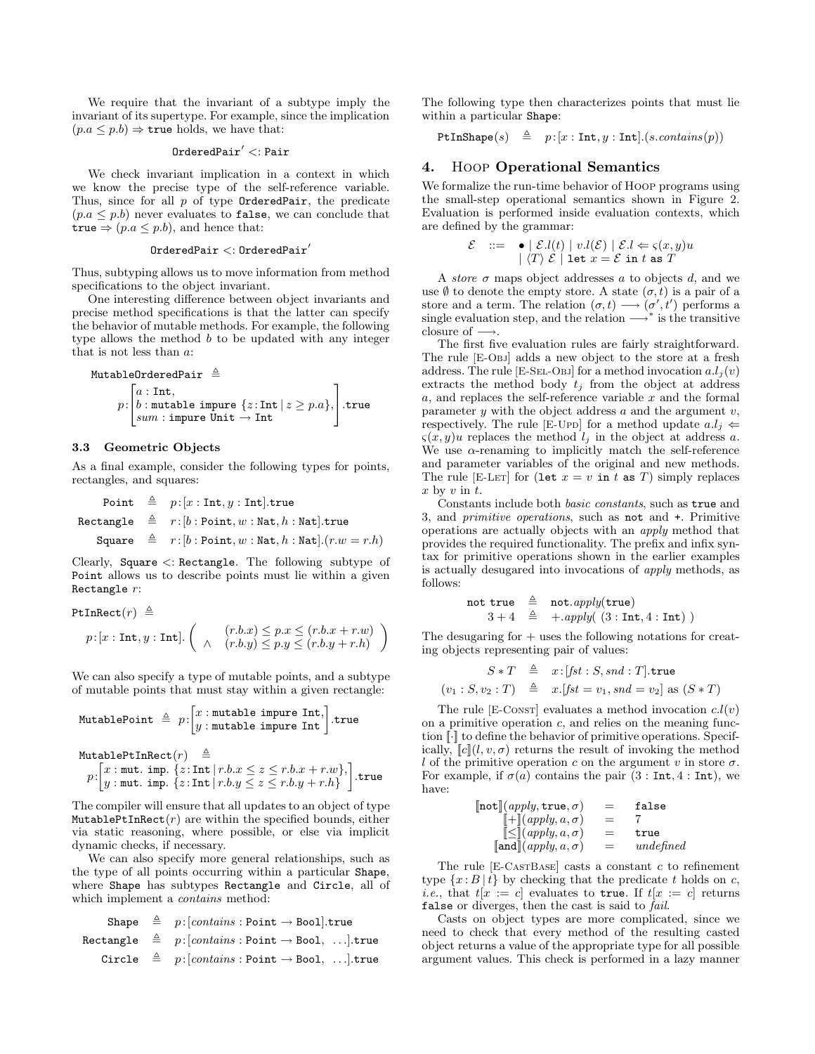We require that the invariant of a subtype imply the invariant of its supertype. For example, since the implication  $(p.a \leq p.b) \Rightarrow$  true holds, we have that:

## $0$ rdered $Pair' <:Pair$

We check invariant implication in a context in which we know the precise type of the self-reference variable. Thus, since for all  $p$  of type OrderedPair, the predicate  $(p.a \leq p.b)$  never evaluates to false, we can conclude that true  $\Rightarrow$   $(p.a \leq p.b)$ , and hence that:

#### $0$ rderedPair  $\lt$ :  $0$ rderedPair'

Thus, subtyping allows us to move information from method specifications to the object invariant.

One interesting difference between object invariants and precise method specifications is that the latter can specify the behavior of mutable methods. For example, the following type allows the method  $b$  to be updated with any integer that is not less than a:

$$
\begin{array}{ll}\texttt{MutableOrderedPair} & \triangleq & \\ & p: \begin{bmatrix} a:\texttt{Int},\\ b:\texttt{mutable improve}\{z:\texttt{Int}\,|\,z\geq p.a\},\\sum:\texttt{impure Unit}\rightarrow \texttt{Int} \end{bmatrix}.\texttt{true}\end{array}
$$

# 3.3 Geometric Objects

As a final example, consider the following types for points, rectangles, and squares:

Point 
$$
\triangleq p:[x:\text{Int},y:\text{Int}].\text{true}
$$

\nRectangle  $\triangleq r:[b:\text{Point},w:\text{Nat},h:\text{Nat}].\text{true}$ 

\nSquare  $\triangleq r:[b:\text{Point},w:\text{Nat},h:\text{Nat}].(r.w=r.h)$ 

Clearly, Square <: Rectangle. The following subtype of Point allows us to describe points must lie within a given Rectangle r:

PtInRect $(r) \triangleq$ 

$$
p:[x:\texttt{Int},y:\texttt{Int}].\left(\begin{array}{c} (r.b.x) \leq p.x \leq (r.b.x + r.w) \\ \wedge (r.b.y) \leq p.y \leq (r.b.y + r.h) \end{array}\right)
$$

We can also specify a type of mutable points, and a subtype of mutable points that must stay within a given rectangle:

$$
\texttt{MutablePoint} \triangleq p: \begin{bmatrix} x:\texttt{mutable impulse Int},\\ y:\texttt{mutable impulse Int}\end{bmatrix}.\texttt{true}
$$

```
MutablePtInRect(r) \triangleq
```

$$
p\!\cdot\!\!\begin{bmatrix} x:\texttt{mut. imp.} \{z:\texttt{Int}\,|\, r.b.x \leq z \leq r.b.x + r.w\},\\ y:\texttt{mut. imp.} \{z:\texttt{Int}\,|\, r.b.y \leq z \leq r.b.y + r.h\} \end{bmatrix}.\texttt{true}
$$

The compiler will ensure that all updates to an object of type MutablePtInRect $(r)$  are within the specified bounds, either via static reasoning, where possible, or else via implicit dynamic checks, if necessary.

We can also specify more general relationships, such as the type of all points occurring within a particular Shape, where Shape has subtypes Rectangle and Circle, all of which implement a contains method:

| Shape     | $\triangleq$ | $p: [contains:Point \rightarrow Bool]$ .true         |
|-----------|--------------|------------------------------------------------------|
| Rectangle | $\triangleq$ | $p: [contains:Point \rightarrow Bool, \ldots]$ .true |
| Circle    | $\triangleq$ | $p: [contains:Point \rightarrow Bool, \ldots]$ .true |

The following type then characterizes points that must lie within a particular Shape:

PtInShape(s)  $\triangleq p:[x:\text{Int}, y:\text{Int}].(s.\text{contains}(p))$ 

# 4. Hoop Operational Semantics

We formalize the run-time behavior of Hoop programs using the small-step operational semantics shown in Figure 2. Evaluation is performed inside evaluation contexts, which are defined by the grammar:

$$
\mathcal{E} \quad ::= \quad \bullet \mid \mathcal{E}.l(t) \mid v.l(\mathcal{E}) \mid \mathcal{E}.l \Leftarrow \varsigma(x,y)u
$$
\n
$$
\mid \langle T \rangle \mathcal{E} \mid \text{let } x = \mathcal{E} \text{ in } t \text{ as } T
$$

A store  $\sigma$  maps object addresses  $a$  to objects  $d$ , and we use  $\emptyset$  to denote the empty store. A state  $(\sigma, t)$  is a pair of a store and a term. The relation  $(\sigma, t) \longrightarrow (\sigma', t')$  performs a single evaluation step, and the relation  $\longrightarrow^*$  is the transitive closure of  $\longrightarrow$ .

The first five evaluation rules are fairly straightforward. The rule [E-Obj] adds a new object to the store at a fresh address. The rule [E-SEL-OBJ] for a method invocation  $a.l_i(v)$ extracts the method body  $t_j$  from the object at address a, and replaces the self-reference variable x and the formal parameter  $y$  with the object address  $a$  and the argument  $v$ , respectively. The rule [E-Upp] for a method update  $a.l_j \Leftarrow$  $\zeta(x, y)u$  replaces the method  $l_i$  in the object at address a. We use  $\alpha$ -renaming to implicitly match the self-reference and parameter variables of the original and new methods. The rule [E-Ler] for (let  $x = v$  in t as T) simply replaces  $x$  by  $v$  in  $t$ .

Constants include both basic constants, such as true and 3, and primitive operations, such as not and +. Primitive operations are actually objects with an apply method that provides the required functionality. The prefix and infix syntax for primitive operations shown in the earlier examples is actually desugared into invocations of apply methods, as follows:

$$
\begin{array}{rcl}\n\text{not true} & \triangleq & \text{not}.apply(\text{true}) \\
3 + 4 & \triangleq & + .apply( \text{ (3 : Int, 4 : Int ) })\n\end{array}
$$

The desugaring for  $+$  uses the following notations for creating objects representing pair of values:

$$
S * T \triangleq x : [fst : S, snd : T].true
$$
  

$$
(v_1 : S, v_2 : T) \triangleq x .[fst = v_1, snd = v_2] \text{ as } (S * T)
$$

The rule [E-Const] evaluates a method invocation  $c.l(v)$ on a primitive operation  $c$ , and relies on the meaning function  $\lceil \cdot \rceil$  to define the behavior of primitive operations. Specifically,  $\lbrack c \rbrack (l, v, \sigma)$  returns the result of invoking the method l of the primitive operation c on the argument v in store  $\sigma$ . For example, if  $\sigma(a)$  contains the pair  $(3 : Int, 4 : Int)$ , we have:

| $\llbracket \texttt{not} \rrbracket(\textit{apply}, \texttt{true}, \sigma)$ | $=$ | false     |
|-----------------------------------------------------------------------------|-----|-----------|
| $\llbracket + \rrbracket (apply, a, \sigma)$                                | $=$ |           |
| $\llbracket \leq \rrbracket (apply, a, \sigma)$                             | $=$ | true      |
| $\llbracket \texttt{and} \rrbracket(\textit{apply},a,\sigma)$               | $=$ | undefined |

The rule  $[E-CASTBASE]$  casts a constant c to refinement type  $\{x : B | t\}$  by checking that the predicate t holds on c, *i.e.*, that  $t[x := c]$  evaluates to true. If  $t[x := c]$  returns false or diverges, then the cast is said to fail.

Casts on object types are more complicated, since we need to check that every method of the resulting casted object returns a value of the appropriate type for all possible argument values. This check is performed in a lazy manner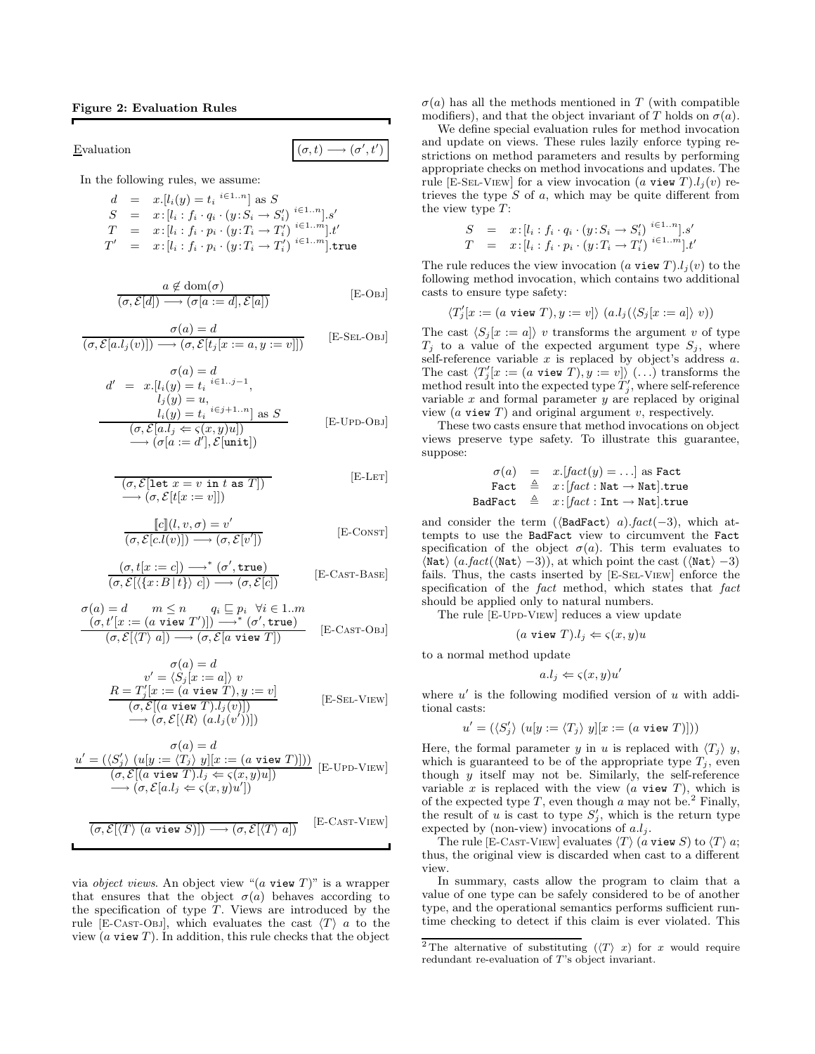# Figure 2: Evaluation Rules

Evaluation  $(\sigma, t)$ 

In the following rules, we assume:

$$
d = x.[l_i(y) = t_i \stackrel{i \in 1..n}{\ldots} \text{ as } S
$$
  
\n
$$
S = x:[l_i : f_i \cdot q_i \cdot (y : S_i \to S'_i) \stackrel{i \in 1..n}{\ldots}].s'
$$
  
\n
$$
T = x:[l_i : f_i \cdot p_i \cdot (y : T_i \to T'_i) \stackrel{i \in 1..m}{\ldots}].t'
$$
  
\n
$$
T' = x:[l_i : f_i \cdot p_i \cdot (y : T_i \to T'_i) \stackrel{i \in 1..m}{\ldots}].true
$$

$$
\begin{array}{c}\n a \notin \text{dom}(\sigma) \\
 (\sigma, \mathcal{E}[d]) \longrightarrow (\sigma[a := d], \mathcal{E}[a])\n \end{array} \qquad \qquad [\text{E-OBJ}]
$$

 $\bm{\eta}^{\prime},t^{\prime})$ 

$$
\frac{\sigma(a) = d}{(\sigma, \mathcal{E}[a.l_j(v)]) \longrightarrow (\sigma, \mathcal{E}[t_j[x := a, y := v]])}
$$
 [E-SEL-OBJ]

$$
d' = x.[l_i(y) = t_i \stackrel{i \in 1..j-1}{\longrightarrow},
$$
  
\n
$$
l_j(y) = u,
$$
  
\n
$$
l_i(y) = t_i \stackrel{i \in j+1..n}{\longrightarrow} \text{as } S
$$
  
\n
$$
(\sigma, \mathcal{E}[a.l_j \Leftarrow \varsigma(x, y)u])
$$
  
\n
$$
\rightarrow (\sigma[a := d'], \mathcal{E}[unit])
$$
\n[E-UPD-OBJ]

$$
\overline{(\sigma, \mathcal{E}[\text{let } x = v \text{ in } t \text{ as } T])}
$$
\n
$$
\longrightarrow (\sigma, \mathcal{E}[t[x := v]])
$$
\n[E-LET]

$$
\frac{\llbracket c \rrbracket(l, v, \sigma) = v'}{(\sigma, \mathcal{E}[c.l(v)]) \longrightarrow (\sigma, \mathcal{E}[v'])}
$$
 [E-Const]

$$
\frac{(\sigma, t[x := c]) \longrightarrow^* (\sigma', \mathtt{true})}{(\sigma, \mathcal{E}[\langle \{x : B | t \} \rangle c]) \longrightarrow (\sigma, \mathcal{E}[c])}
$$
 [E-CAST-BASE]

$$
\begin{array}{ll}\n\sigma(a) = d & m \le n & q_i \sqsubseteq p_i \quad \forall i \in 1..m \\
(\sigma, t'[x := (a \text{ view } T'])] \longrightarrow^* (\sigma', \text{true}) \\
(\sigma, \mathcal{E}[\langle T \rangle a]) \longrightarrow (\sigma, \mathcal{E}[a \text{ view } T])\n\end{array} \quad [\text{E-CAST-OBJ}]
$$

$$
\sigma(a) = d
$$
  
\n
$$
v' = \langle S_j[x := a] \rangle v
$$
  
\n
$$
R = T'_j[x := (a \text{ view } T), y := v]
$$
  
\n
$$
(\sigma, \mathcal{E}[(a \text{ view } T).l_j(v)])
$$
  
\n
$$
\longrightarrow (\sigma, \mathcal{E}[\langle R \rangle (a.l_j(v'))])
$$
\n[E-SEL-VIEW]

$$
\sigma(a) = d
$$
\n
$$
\underline{u'} = (\langle S_j' \rangle \ (u[y := \langle T_j \rangle \ y][x := (a \text{ view } T)]))
$$
\n
$$
(\sigma, \mathcal{E}[(a \text{ view } T) \cdot l_j \Leftarrow \varsigma(x, y)u])
$$
\n
$$
\longrightarrow (\sigma, \mathcal{E}[a \cdot l_j \Leftarrow \varsigma(x, y)u'])
$$
\n
$$
\underline{u'} = \langle S_i, \mathcal{E}[a \cdot l_j \Leftarrow \varsigma(x, y)u'] \rangle
$$

$$
\overline{(\sigma, \mathcal{E}[\langle T \rangle \ (a \text{ view } S)]) \longrightarrow (\sigma, \mathcal{E}[\langle T \rangle \ a])}
$$
 [E-CAST-VIEW]

via *object views*. An object view " $(a$  view  $T$ " is a wrapper that ensures that the object  $\sigma(a)$  behaves according to the specification of type  $T$ . Views are introduced by the rule [E-Cast-Obj], which evaluates the cast  $\langle T \rangle$  a to the view  $(a \text{ view } T)$ . In addition, this rule checks that the object

 $\sigma(a)$  has all the methods mentioned in T (with compatible modifiers), and that the object invariant of T holds on  $\sigma(a)$ .

We define special evaluation rules for method invocation and update on views. These rules lazily enforce typing restrictions on method parameters and results by performing appropriate checks on method invocations and updates. The rule [E-SEL-VIEW] for a view invocation (a view T). $l_i(v)$  retrieves the type  $S$  of  $a$ , which may be quite different from the view type  $T$ :

$$
S = x:[l_i : f_i \cdot q_i \cdot (y : S_i \to S_i')^{i \in 1..n}].s'
$$
  
\n
$$
T = x:[l_i : f_i \cdot p_i \cdot (y : T_i \to T_i')^{i \in 1..m}].t'
$$

The rule reduces the view invocation (a view T). $l_i(v)$  to the following method invocation, which contains two additional casts to ensure type safety:

$$
\langle T'_j[x := (a \text{ view } T), y := v] \rangle (a.l_j(\langle S_j[x := a] \rangle v))
$$

The cast  $\langle S_i | x := a \rangle$  v transforms the argument v of type  $T_i$  to a value of the expected argument type  $S_i$ , where self-reference variable  $x$  is replaced by object's address  $a$ . The cast  $\langle T'_j[x := (a \text{ view } T), y := v] \rangle$  (...) transforms the method result into the expected type  $T'_j$ , where self-reference variable  $x$  and formal parameter  $y$  are replaced by original view  $(a$  view  $T)$  and original argument  $v$ , respectively.

These two casts ensure that method invocations on object views preserve type safety. To illustrate this guarantee, suppose:

$$
\begin{array}{rcl} \sigma(a) & = & x.\text{[fact(y) = \dots] as Fact} \\ \text{Fact} & \triangleq & x.\text{[fact : Nat \rightarrow Nat].true} \\ \text{BadFact} & \triangleq & x.\text{[fact : Int \rightarrow Nat].true} \end{array}
$$

and consider the term ( $\langle$ BadFact $\rangle$  a).fact(-3), which attempts to use the BadFact view to circumvent the Fact specification of the object  $\sigma(a)$ . This term evaluates to  $\langle \text{Nat} \rangle$  (a.fact( $\langle \text{Nat} \rangle -3$ )), at which point the cast ( $\langle \text{Nat} \rangle -3$ ) fails. Thus, the casts inserted by [E-Sel-View] enforce the specification of the fact method, which states that fact should be applied only to natural numbers.

The rule [E-Upp-VIEW] reduces a view update

$$
a \text{ view } T).l_j \Leftarrow \varsigma(x,y)u
$$

to a normal method update

$$
a.l_j \Leftarrow \varsigma(x,y)u'
$$

where  $u'$  is the following modified version of u with additional casts:

$$
u' = (\langle S'_j \rangle \ (u[y := \langle T_j \rangle \ y][x := (a \text{ view } T)]))
$$

Here, the formal parameter y in u is replaced with  $\langle T_j \rangle$  y, which is guaranteed to be of the appropriate type  $T_j$ , even though  $y$  itself may not be. Similarly, the self-reference variable x is replaced with the view  $(a$  view  $T$ ), which is of the expected type  $T$ , even though  $a$  may not be.<sup>2</sup> Finally, the result of u is cast to type  $S'_{j}$ , which is the return type expected by (non-view) invocations of  $a.l_j$ .

The rule [E-Cast-View] evaluates  $\langle T \rangle$  (a view S) to  $\langle T \rangle$  a; thus, the original view is discarded when cast to a different view.

In summary, casts allow the program to claim that a value of one type can be safely considered to be of another type, and the operational semantics performs sufficient runtime checking to detect if this claim is ever violated. This

<sup>&</sup>lt;sup>2</sup>The alternative of substituting  $(\langle T \rangle x)$  for x would require redundant re-evaluation of T's object invariant.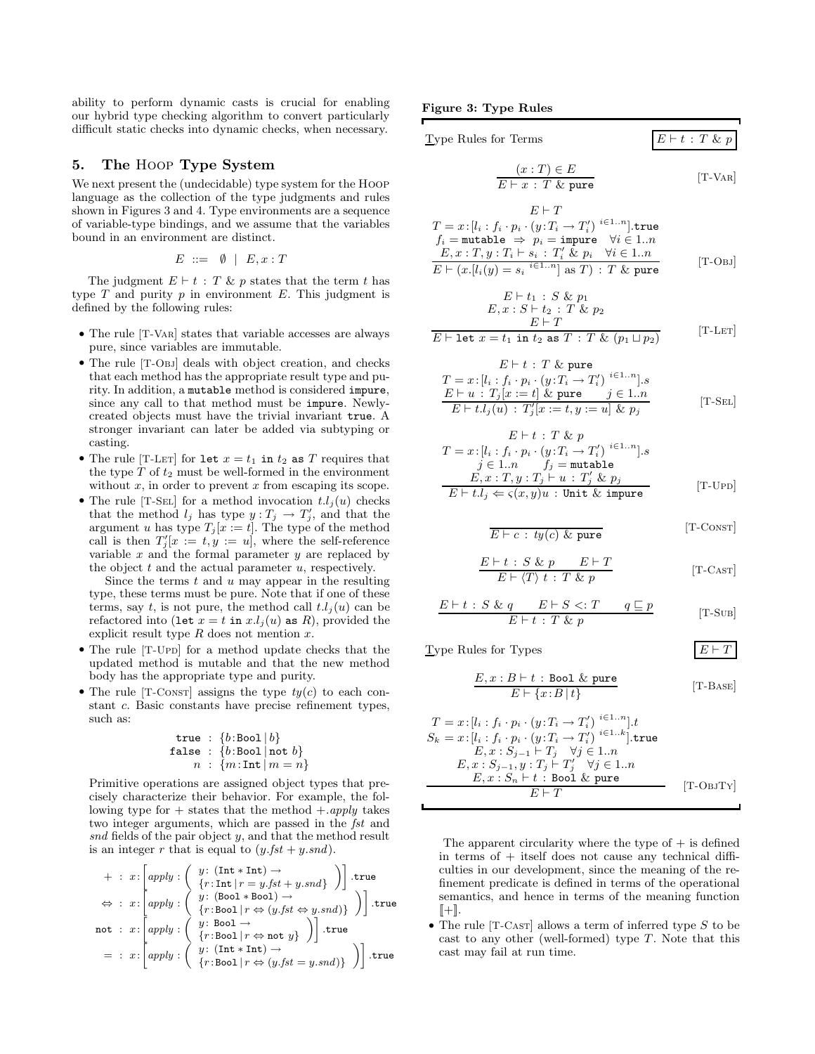ability to perform dynamic casts is crucial for enabling our hybrid type checking algorithm to convert particularly difficult static checks into dynamic checks, when necessary.

# 5. The Hoop Type System

We next present the (undecidable) type system for the Hoop language as the collection of the type judgments and rules shown in Figures 3 and 4. Type environments are a sequence of variable-type bindings, and we assume that the variables bound in an environment are distinct.

$$
E \ ::= \ \emptyset \ | \ E, x : T
$$

The judgment  $E \vdash t : T \& p$  states that the term t has type  $T$  and purity  $p$  in environment  $E$ . This judgment is defined by the following rules:

- The rule [T-Var] states that variable accesses are always pure, since variables are immutable.
- The rule [T-Obj] deals with object creation, and checks that each method has the appropriate result type and purity. In addition, a mutable method is considered impure, since any call to that method must be impure. Newlycreated objects must have the trivial invariant true. A stronger invariant can later be added via subtyping or casting.
- The rule [T-LET] for let  $x = t_1$  in  $t_2$  as T requires that the type  $T$  of  $t_2$  must be well-formed in the environment without  $x$ , in order to prevent  $x$  from escaping its scope.
- The rule [T-SEL] for a method invocation  $t.l_i(u)$  checks that the method  $l_j$  has type  $y : T_j \to T'_j$ , and that the argument u has type  $T_j[x := t]$ . The type of the method call is then  $T'_j[x := t, y := u]$ , where the self-reference variable  $x$  and the formal parameter  $y$  are replaced by the object  $t$  and the actual parameter  $u$ , respectively.

Since the terms  $t$  and  $u$  may appear in the resulting type, these terms must be pure. Note that if one of these terms, say t, is not pure, the method call  $t.l_i(u)$  can be refactored into (let  $x = t$  in  $x.l_j(u)$  as R), provided the explicit result type  $R$  does not mention  $x$ .

- The rule [T-Upp] for a method update checks that the updated method is mutable and that the new method body has the appropriate type and purity.
- The rule  $[T\text{-}Consr]$  assigns the type  $t\psi(c)$  to each constant c. Basic constants have precise refinement types, such as:

$$
\begin{array}{rl} \texttt{true} & : \{b:\texttt{Bool} \mid b\} \\ \texttt{false} & : \{b:\texttt{Bool} \mid \texttt{not}\ b\} \\ n & : \{m:\texttt{Int} \mid m = n\} \end{array}
$$

Primitive operations are assigned object types that precisely characterize their behavior. For example, the following type for  $+$  states that the method  $+$ .apply takes two integer arguments, which are passed in the fst and snd fields of the pair object y, and that the method result is an integer r that is equal to  $(y.fst + y.snd)$ .

$$
+ : x : \left[ \begin{matrix} apply : \left( \begin{array}{c} y : (\text{Int} * \text{Int}) \rightarrow \\ \{r : \text{Int} \mid r = y . f st + y . s nd \} \end{array} \right) \right] . \text{true} \\ \Leftrightarrow : x : \left[ \begin{matrix} apply : \left( \begin{array}{c} y : (\text{Bool} * \text{Bool}) \rightarrow \\ \{r : \text{Bool} \mid r \Leftrightarrow (y . f st \Leftrightarrow y . s nd) \} \end{array} \right) \right] . \text{true} \\ \text{not} : x : \left[ \begin{matrix} apply : \left( \begin{array}{c} y : \text{Bool} \rightarrow \\ \{r : \text{Bool} \mid r \Leftrightarrow \text{not } y \} \end{array} \right) \right] . \text{true} \\ = : x : \left[ \begin{matrix} apply : \left( \begin{array}{c} y : (\text{Int} * \text{Int}) \rightarrow \\ \{r : \text{Bool} \mid r \Leftrightarrow (y . f st = y . s nd) \} \end{array} \right) \end{array} \right) \right] . \text{true} \end{matrix}
$$

Figure 3: Type Rules

| Type Rules for Terms                                                                               | $E \vdash t : T \& p$ |
|----------------------------------------------------------------------------------------------------|-----------------------|
| $(x: T) \in E$<br>$E \vdash x : T \&$ pure                                                         | $[T-VAR]$             |
| $E \vdash T$<br>$T = x : [l_i : f_i \cdot p_i \cdot (y : T_i \rightarrow T'_i)]^{i \in 1n}].$ true |                       |

$$
T = x: [l_i : f_i \cdot p_i \cdot (y: T_i \rightarrow T'_i)] \text{ true}
$$
  
\n
$$
f_i = \text{mutable} \Rightarrow p_i = \text{impure} \quad \forall i \in 1..n
$$
  
\n
$$
E, x: T, y: T_i \vdash s_i : T'_i \& p_i \quad \forall i \in 1..n
$$
  
\n
$$
E \vdash (x.[l_i(y) = s_i \quad i \in 1..n] \text{ as } T) : T \& \text{ pure}
$$
 [T-OBJ]

$$
E \vdash t_1 : S \& p_1
$$
\n
$$
E, x : S \vdash t_2 : T \& p_2
$$
\n
$$
E \vdash T
$$
\n[T-LET]

$$
E \vdash \text{let } x = t_1 \text{ in } t_2 \text{ as } T : T \& (p_1 \sqcup p_2)
$$
 [T-LET]

$$
E \vdash t : T \& \text{pure}
$$
\n
$$
T = x : [l_i : f_i \cdot p_i \cdot (y : T_i \to T_i') \stackrel{i \in 1..n}{\longrightarrow} ] \cdot s
$$
\n
$$
\frac{E \vdash u : T_j[x := t] \& \text{pure}}{E \vdash t.l_j(u) : T_j'[x := t, y := u] \& p_j} \qquad \text{[T-SEL]}
$$

 $E \vdash$   $\vdash$   $\vdash$   $T \lor \vdash$  re

$$
T = x: [l_i : f_i \cdot p_i \cdot (y: T_i \to T'_i)]^{i \in 1..n}].s
$$
  
\n
$$
j \in 1..n \t f_j = \text{mutable}
$$
  
\n
$$
E, x: T, y: T_j \vdash u: T'_j \& p_j
$$
  
\n
$$
E \vdash t.l_j \Leftarrow \varsigma(x, y)u: \text{Unit & impure}
$$
\n[T-UPD]

$$
\overline{E \vdash c : ty(c) \& pure} \qquad \qquad [\text{T-Constr}]
$$

$$
\frac{E\vdash t\,:\,S\,\&\,p\qquad E\vdash T}{E\vdash \langle T\rangle\;t\,:\,T\,\&\,p} \qquad \qquad [\text{T-Casr}]
$$

$$
\frac{E\vdash t\,:\,S\ \&\ q\qquad E\vdash S\ltimes:T\qquad q\sqsubseteq p}{E\vdash t\,:\,T\ \&\ p}\qquad\qquad[T\text{-}S\text{uB}]
$$

Type Rules for Types  $E \vdash T$ 

$$
\frac{E, x : B \vdash t : \text{Bool} \& \text{pure}}{E \vdash \{x : B \mid t\}}
$$
 [T-BASE]

$$
T = x: [l_i : f_i \cdot p_i \cdot (y: T_i \rightarrow T'_i)] \stackrel{i \in 1..n}{\dots}].t
$$
  
\n
$$
S_k = x: [l_i : f_i \cdot p_i \cdot (y: T_i \rightarrow T'_i)] \stackrel{i \in 1..k}{\dots}].true
$$
  
\n
$$
E, x: S_{j-1} \vdash T_j \quad \forall j \in 1..n
$$
  
\n
$$
E, x: S_{j-1}, y: T_j \vdash T'_j \quad \forall j \in 1..n
$$
  
\n
$$
E, x: S_n \vdash t : \text{Bool} \& \text{pure}
$$
  
\n
$$
E \vdash T
$$
 [T-OBJTY]

The apparent circularity where the type of  $+$  is defined in terms of  $+$  itself does not cause any technical difficulties in our development, since the meaning of the refinement predicate is defined in terms of the operational semantics, and hence in terms of the meaning function  $[+].$ 

• The rule  $[T-CAST]$  allows a term of inferred type S to be cast to any other (well-formed) type  $T$ . Note that this cast may fail at run time.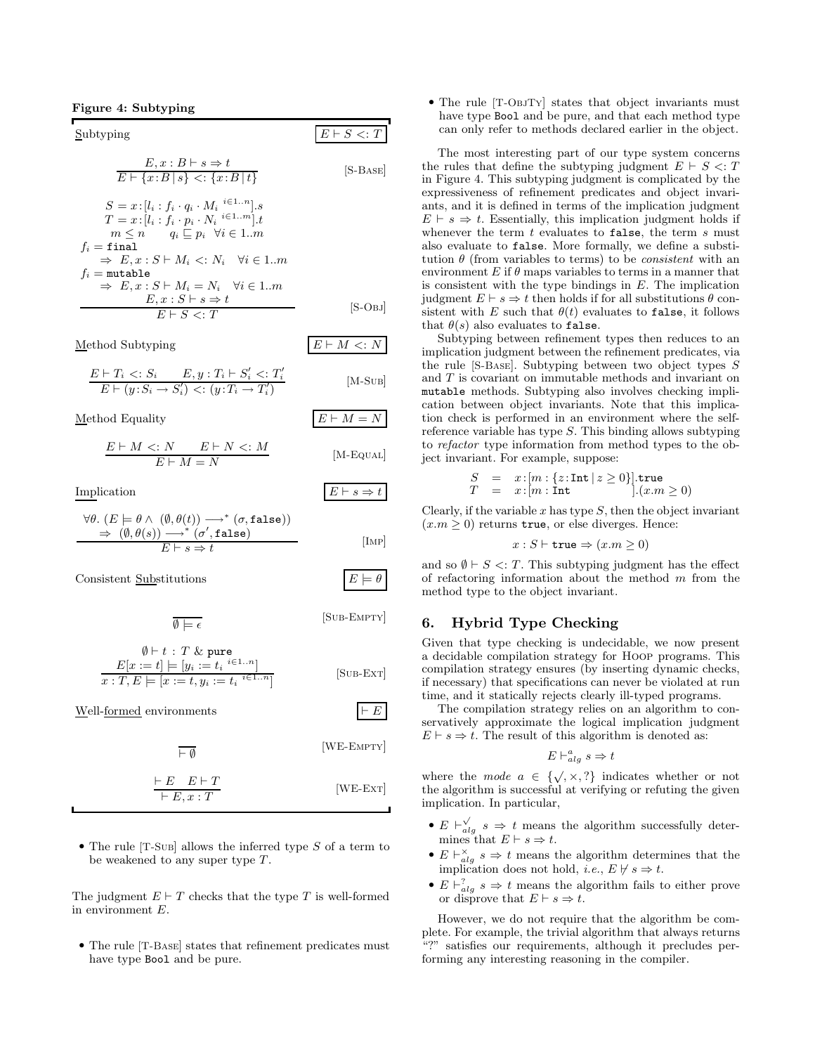Subtyping  
\n
$$
E, x : B \vdash s \Rightarrow t
$$
\n
$$
\overline{E \vdash \{x : B \mid s\}} \leq: \{x : B \mid t\}
$$
\n
$$
S = x : [l_i : f_i \cdot q_i \cdot M_i \stackrel{i \in 1..n}{\qquads
$$
\n
$$
[S-BASE]
$$

$$
T = x: [l_i : f_i \cdot p_i \cdot N_i \stackrel{i \in 1...m}{\leq}].
$$
\n
$$
m \leq n \qquad q_i \subseteq p_i \quad \forall i \in 1...m
$$
\n
$$
f_i = \text{final}
$$
\n
$$
\Rightarrow E, x: S \vdash M_i <: N_i \quad \forall i \in 1...m
$$
\n
$$
f_i = \text{mutable}
$$
\n
$$
\Rightarrow E, x: S \vdash M_i = N_i \quad \forall i \in 1...m
$$
\n
$$
E, x: S \vdash s \Rightarrow t
$$
\n
$$
E \vdash S <: T
$$
\n
$$
[S-OBJ]
$$

Method Subtyping  $E \vdash M \lt: N$ 

$$
\frac{E \vdash T_i <: S_i \qquad E, y : T_i \vdash S_i' <: T_i'}{E \vdash (y : S_i \rightarrow S_i') <: (y : T_i \rightarrow T_i')} \tag{M-SUB}
$$

Method Equality  $E \vdash M = N$ 

$$
\frac{E \vdash M \lt;: N \qquad E \vdash N \lt;: M}{E \vdash M = N} \qquad \qquad \text{[M-Equal]}
$$

Implication  $E \vdash s \Rightarrow t$ 

$$
\forall \theta. (E \models \theta \land (\emptyset, \theta(t)) \longrightarrow^* (\sigma, \text{false}))
$$
  
\n
$$
\Rightarrow (\emptyset, \theta(s)) \longrightarrow^* (\sigma', \text{false})
$$
  
\n
$$
E \vdash s \Rightarrow t
$$
 [IMP]

Consistent Substitutions

 $\emptyset \models \epsilon$ 

 $\vdash E, x : T$ 

$$
f_{\rm{max}}(x)
$$

$$
\emptyset \vdash t : T \& \text{ pure}
$$
  
\n
$$
E[x := t] \models [y_i := t_i \stackrel{i \in 1..n}{=} \text{SUB-EXT}]
$$
  
\n
$$
x : T, E \models [x := t, y_i := t_i \stackrel{i \in 1..n}{=} \text{SUB-EXT}]
$$

Well-formed environments  $\vert \vdash E$  $\overline{\vdash \emptyset}$ [WE-Empty]  $E \vdash T$ 

• The rule  $[T-SUB]$  allows the inferred type S of a term to be weakened to any super type T.

The judgment  $E \vdash T$  checks that the type T is well-formed in environment E.

• The rule [T-Base] states that refinement predicates must have type Bool and be pure.

• The rule [T-ObjTy] states that object invariants must have type Bool and be pure, and that each method type can only refer to methods declared earlier in the object.

The most interesting part of our type system concerns the rules that define the subtyping judgment  $E \vdash S \lt: T$ in Figure 4. This subtyping judgment is complicated by the expressiveness of refinement predicates and object invariants, and it is defined in terms of the implication judgment  $E \vdash s \Rightarrow t$ . Essentially, this implication judgment holds if whenever the term  $t$  evaluates to false, the term  $s$  must also evaluate to false. More formally, we define a substitution  $\theta$  (from variables to terms) to be *consistent* with an environment  $E$  if  $\theta$  maps variables to terms in a manner that is consistent with the type bindings in  $E$ . The implication judgment  $E \vdash s \Rightarrow t$  then holds if for all substitutions  $\theta$  consistent with E such that  $\theta(t)$  evaluates to false, it follows that  $\theta(s)$  also evaluates to false.

Subtyping between refinement types then reduces to an implication judgment between the refinement predicates, via the rule [S-Base]. Subtyping between two object types S and T is covariant on immutable methods and invariant on mutable methods. Subtyping also involves checking implication between object invariants. Note that this implication check is performed in an environment where the selfreference variable has type  $S$ . This binding allows subtyping to refactor type information from method types to the object invariant. For example, suppose:

$$
\begin{array}{rcl} S & = & x:[m:\{z:\text{\bf Int}\:|\:z\geq 0\}].\text{\bf true} \\ T & = & x:[m:\text{\bf Int} \qquad] . (x.m \geq 0) \end{array}
$$

Clearly, if the variable  $x$  has type  $S$ , then the object invariant  $(x.m \geq 0)$  returns true, or else diverges. Hence:

$$
x : S \vdash \mathtt{true} \Rightarrow (x.m \ge 0)
$$

and so  $\emptyset \vdash S \prec T$ . This subtyping judgment has the effect of refactoring information about the method  $m$  from the method type to the object invariant.

# 6. Hybrid Type Checking

Given that type checking is undecidable, we now present a decidable compilation strategy for Hoop programs. This compilation strategy ensures (by inserting dynamic checks, if necessary) that specifications can never be violated at run time, and it statically rejects clearly ill-typed programs.

The compilation strategy relies on an algorithm to conservatively approximate the logical implication judgment  $E \vdash s \Rightarrow t.$  The result of this algorithm is denoted as:

$$
E\vdash^a_{alg} s\Rightarrow t
$$

where the mode  $a \in \{\sqrt{x}, \sqrt{x}, \sqrt{y}\}\)$  indicates whether or not the algorithm is successful at verifying or refuting the given implication. In particular,

- $E \vdash_{alg}^{\checkmark} s \Rightarrow t$  means the algorithm successfully determines that  $E \vdash s \Rightarrow t$ .
- $E \vdash_{alg}^{\times} s \Rightarrow t$  means the algorithm determines that the implication does not hold, *i.e.*,  $E \not\vdash s \Rightarrow t$ .
- $E \vdash_{alg}^? s \Rightarrow t$  means the algorithm fails to either prove or disprove that  $E \vdash s \Rightarrow t$ .

However, we do not require that the algorithm be complete. For example, the trivial algorithm that always returns "?" satisfies our requirements, although it precludes performing any interesting reasoning in the compiler.

$$
E \models \theta
$$

[Sub-Empty]

[WE-Ext]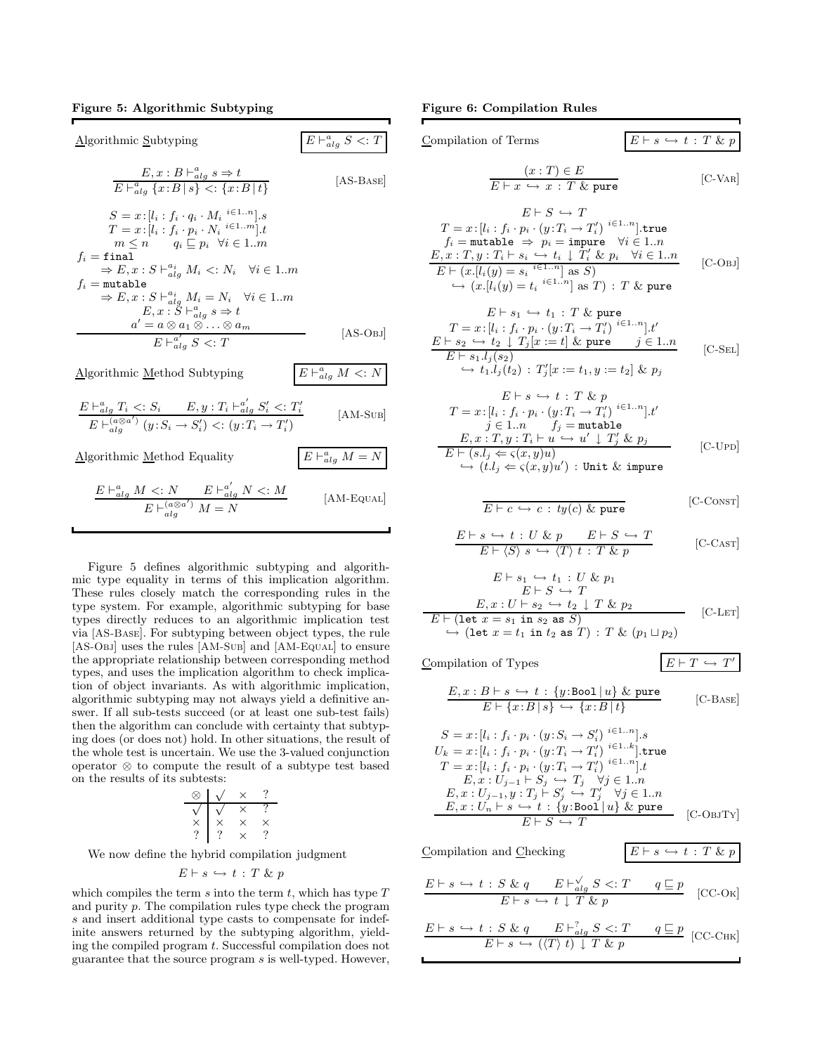# Figure 5: Algorithmic Subtyping

Algorithmic Subtyping  $_{alg}^a S <: T$  $E, x : B \vdash_{alg}^a s \Rightarrow t$  $E \vdash_{alg}^a \{x : B \mid s\} \leq: \{x : B \mid t\}$ [AS-Base]  $S = x : [l_i : f_i \cdot q_i \cdot M_i \stackrel{i \in 1..n}{\ldots}].s$  $T = x : [l_i : f_i \cdot \underline{p}_i \cdot N_i \stackrel{i \in 1..m}{\ldots}].t$  $m \leq n \qquad q_i \sqsubseteq p_i \quad \forall i \in 1...m$  $f_i$  = final  $\Rightarrow E, x : S \vdash_{alg}^{a_i} M_i \leq: N_i \quad \forall i \in 1..m$  $f_i = \texttt{mutable}$  $\Rightarrow E, x : S \vdash_{alg}^{a_i} M_i = N_i \quad \forall i \in 1..m$  $E, x : S \vdash_{alg}^a s \Rightarrow t$ <br>  $a' = a \otimes a_1 \otimes \ldots \otimes a_m$  $E \vdash^{a'}_{alg} S <: T$ [AS-Obj] Algorithmic Method Subtyping  $_{alg}^a$  M  $\lt: N$ a a  $\overline{1}$  $_{alg}^a$   $S$  $\frac{1}{2}$  $i' <: T$  $\frac{1}{2}$ i

$$
\frac{E \vdash_{alg}^a T_i <: S_i \qquad E, y : T_i \vdash_{alg}^a S_i' <: T_i'}{E \vdash_{alg}^{(a \otimes a')} (y : S_i \to S_i') <: (y : T_i \to T_i')} \tag{AM-SUB}
$$

Algorithmic Method Equality

$$
\frac{E\vdash^{a}_{alg}M<:N\qquad E\vdash^{a'}_{alg}N<:M}{E\vdash^{(a\otimes a')}_{alg}M=N}\qquad\qquad \text{[AM-Equal]}
$$

 $_{alg}^{a} M = N$ 

Figure 5 defines algorithmic subtyping and algorithmic type equality in terms of this implication algorithm. These rules closely match the corresponding rules in the type system. For example, algorithmic subtyping for base types directly reduces to an algorithmic implication test via [AS-Base]. For subtyping between object types, the rule [AS-Obj] uses the rules [AM-Sub] and [AM-Equal] to ensure the appropriate relationship between corresponding method types, and uses the implication algorithm to check implication of object invariants. As with algorithmic implication, algorithmic subtyping may not always yield a definitive answer. If all sub-tests succeed (or at least one sub-test fails) then the algorithm can conclude with certainty that subtyping does (or does not) hold. In other situations, the result of the whole test is uncertain. We use the 3-valued conjunction operator ⊗ to compute the result of a subtype test based on the results of its subtests:

$$
\begin{array}{c|cc}\n\oslash & \swarrow & \times & ? \\
\hline\n\vee & \swarrow & \times & ? \\
\times & \times & \times & \times \\
? & ? & \times & ? \\
\end{array}
$$

We now define the hybrid compilation judgment

$$
E \vdash s \hookrightarrow t : T \& p
$$

which compiles the term s into the term t, which has type  $T$ and purity p. The compilation rules type check the program s and insert additional type casts to compensate for indefinite answers returned by the subtyping algorithm, yielding the compiled program t. Successful compilation does not guarantee that the source program s is well-typed. However, Figure 6: Compilation Rules

 $\blacksquare$ 

Complation of Terms

\n
$$
\begin{array}{c|c|c|c|c|c} \hline \text{Complation of Terms} & E \vdash s \hookrightarrow t : T \& p \\ \hline E \vdash x \hookrightarrow x : T \& \text{pure} & [\text{C-VAR}] \\ E \vdash S \hookrightarrow T & \text{True} & [\text{C-VAR}] \\ E \vdash y : f_i \cdot p_i \cdot (y : T_i \rightarrow T_i') \stackrel{i \in 1...n}{\text{1.}n} \text{true} \\ f_i = \text{mutable} \Rightarrow p_i = \text{impure} \quad \forall i \in 1..n \\ E, x : T, y : T_i \vdash s_i \hookrightarrow t_i \downarrow T_i' \& p_i \quad \forall i \in 1..n \\ E \vdash (x.[l_i(y) = t_i \stackrel{i \in 1...n}{\text{1.}n} \text{as } S) & \Leftrightarrow (x.[l_i(y) = t_i \stackrel{i \in 1...n}{\text{1.}n} \text{as } T) : T \& \text{pure} \\ E \vdash s_2 \hookrightarrow t_2 \downarrow T_j [x := t] \& \text{pure} & j \in 1..n \\ E \vdash s_3 \downarrow f_j [z_2] & \text{True} & \text{True} & j \in 1..n \\ \hline \end{array}
$$
\n
$$
\begin{array}{c|c|c|c} \hline \text{SEL} & \text{Diz} & \text{Diz} \\ \hline \text{F} \vdash s_1 \downarrow f_j \downarrow g_j [x := t] \& \text{pure} & j \in 1..n \\ \hline \text{F} \vdash s \hookrightarrow t : T \& p & \text{E} \vdash s \rightarrow t : T \& p \\ \hline \text{F} \vdash s \hookrightarrow t : T \& p & \text{E} \vdash s \rightarrow t : T \& p \\ \hline \text{F} \vdash s \hookarrow t : T \& p & \text{E} \vdash s \rightarrow t : T \& p \\ \hline \text{F} \vdash (s.l, j \in (x, y) u) & \text{Unit} \& \text{impure} \\ \hline \text{F} \vdash (s.l, j \in (x, y) u) & \text{Unit} \& \text{impure
$$

$$
S = x: [l_i : f_i \cdot p_i \cdot (y: S_i \rightarrow S'_i)]^{i \in [1..n]}.
$$
  
\n
$$
S = x: [l_i : f_i \cdot p_i \cdot (y: S_i \rightarrow S'_i)]^{i \in [1..n]}.
$$
  
\n
$$
S = x: [l_i : f_i \cdot p_i \cdot (y: T_i \rightarrow T'_i)]^{i \in [1..n]}.
$$
  
\ntrue

$$
U_k = x: [l_i : f_i \cdot p_i \cdot (y: T_i \to T'_i)]^{i \in 1...k}
$$
  
\n
$$
T = x: [l_i : f_i \cdot p_i \cdot (y: T_i \to T'_i)]^{i \in 1...n}
$$
  
\n
$$
E, x: U_{j-1} \mapsto S_j \hookrightarrow T_j \quad \forall j \in 1...n
$$
  
\n
$$
E, x: U_{j-1}, y: T_j \mapsto S'_j \hookrightarrow T'_j \quad \forall j \in 1...n
$$
  
\n
$$
E, x: U_n \mapsto \hookrightarrow t: \{y: \text{Bool} \mid u\} \& \text{ pure}
$$
  
\n[*C-O*BJTy]

Compilation and Checking  $E \vdash s \hookrightarrow t : T \& p$ √

$$
\frac{E \vdash s \hookrightarrow t : S \& q \qquad E \vdash_{alg}^{V} S <: T \qquad q \sqsubseteq p}{E \vdash s \hookrightarrow t \downarrow T \& p} \quad \text{[CC-OK]}
$$

$$
\frac{E\vdash s\,\hookrightarrow\,t\,:\,S\,\,\&\,\,q\qquad E\vdash^2_{alg}\,S\,<:\,T\qquad q\sqsubseteq p}{E\vdash s\,\hookrightarrow\,(\langle T\rangle\,\,t)\,\downarrow\,\,T\,\,\&\,\,p}\ \ \, [\text{CC-CHK}]
$$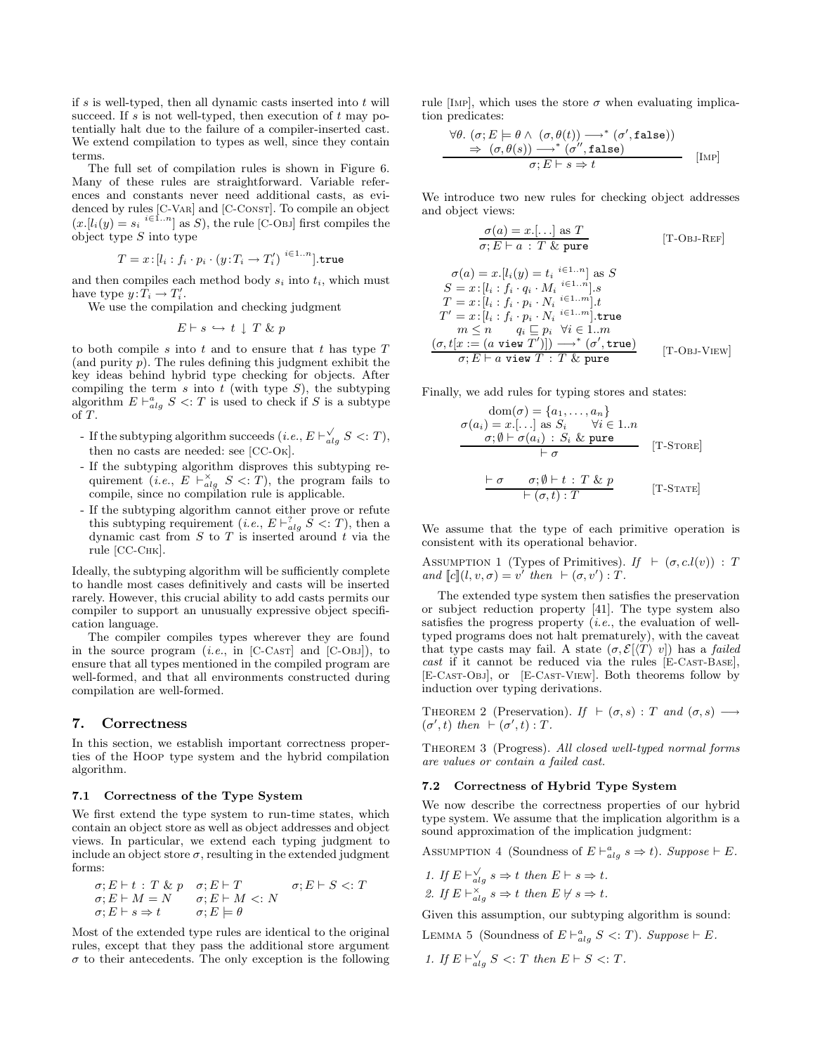if  $s$  is well-typed, then all dynamic casts inserted into  $t$  will succeed. If s is not well-typed, then execution of  $t$  may potentially halt due to the failure of a compiler-inserted cast. We extend compilation to types as well, since they contain terms.

The full set of compilation rules is shown in Figure 6. Many of these rules are straightforward. Variable references and constants never need additional casts, as evidenced by rules [C-V<sub>AR</sub>] and [C-C<sub>ONST</sub>]. To compile an object  $(x.[l_i(y) = s_i \binom{i \in 1..n}{n}]$  as S, the rule [C-Obj] first compiles the object type  $S$  into type

$$
T = x : [l_i : f_i \cdot p_i \cdot (y : T_i \rightarrow T_i')] \cdot \text{true}
$$

and then compiles each method body  $s_i$  into  $t_i$ , which must have type  $y: T_i \to T'_i$ .

We use the compilation and checking judgment

$$
E \vdash s \hookrightarrow t \downarrow T \& p
$$

to both compile  $s$  into  $t$  and to ensure that  $t$  has type  $T$ (and purity  $p$ ). The rules defining this judgment exhibit the key ideas behind hybrid type checking for objects. After compiling the term  $s$  into  $t$  (with type  $S$ ), the subtyping algorithm  $E \vdash_{alg}^a S \le T$  is used to check if S is a subtype of T.

- If the subtyping algorithm succeeds (*i.e.*,  $E \vdash_{alg}^{\checkmark} S \lessdot : T$ ), then no casts are needed: see [CC-Ok].
- If the subtyping algorithm disproves this subtyping requirement (*i.e.*,  $E \vdash_{alg}^{\times} S \le T$ ), the program fails to compile, since no compilation rule is applicable.
- If the subtyping algorithm cannot either prove or refute this subtyping requirement (*i.e.*,  $E \vdash_{alg}^? S <: T$ ), then a dynamic cast from  $S$  to  $T$  is inserted around  $t$  via the rule [СС-Снк].

Ideally, the subtyping algorithm will be sufficiently complete to handle most cases definitively and casts will be inserted rarely. However, this crucial ability to add casts permits our compiler to support an unusually expressive object specification language.

The compiler compiles types wherever they are found in the source program  $(i.e., in [C-CAST]$  and  $[C-OBJ]$ , to ensure that all types mentioned in the compiled program are well-formed, and that all environments constructed during compilation are well-formed.

## 7. Correctness

In this section, we establish important correctness properties of the Hoop type system and the hybrid compilation algorithm.

## 7.1 Correctness of the Type System

We first extend the type system to run-time states, which contain an object store as well as object addresses and object views. In particular, we extend each typing judgment to include an object store  $\sigma$ , resulting in the extended judgment forms:

$$
\sigma; E \vdash t : T \& p \quad \sigma; E \vdash T \qquad \sigma; E \vdash S <: T \n\sigma; E \vdash M = N \qquad \sigma; E \vdash M <: N \n\sigma; E \vdash s \Rightarrow t \qquad \sigma; E \models \theta
$$

Most of the extended type rules are identical to the original rules, except that they pass the additional store argument  $\sigma$  to their antecedents. The only exception is the following rule [IMP], which uses the store  $\sigma$  when evaluating implication predicates:

$$
\frac{\forall \theta. ( \sigma; E \models \theta \land (\sigma, \theta(t)) \rightarrow^* (\sigma', \mathtt{false}))}{\Rightarrow (\sigma, \theta(s)) \rightarrow^* (\sigma'', \mathtt{false})}
$$
\n[ImP]

We introduce two new rules for checking object addresses and object views:

$$
\frac{\sigma(a) = x. [\dots] \text{ as } T}{\sigma; E \vdash a : T \& \text{pure}} \qquad \qquad [\text{T-OBJ-REF}]
$$

$$
\sigma(a) = x.[l_i(y) = t_i \stackrel{i \in 1..n}{\cdots} \text{ as } S
$$
  
\n
$$
S = x.[l_i : f_i \cdot q_i \cdot M_i \stackrel{i \in 1..n}{\cdots}].s
$$
  
\n
$$
T = x.[l_i : f_i \cdot p_i \cdot N_i \stackrel{i \in 1..m}{\cdots}].t
$$
  
\n
$$
T' = x.[l_i : f_i \cdot p_i \cdot N_i \stackrel{i \in 1..m}{\cdots}].\text{true}
$$
  
\n
$$
m \le n \qquad q_i \sqsubseteq p_i \quad \forall i \in 1..m
$$
  
\n
$$
(\sigma, t[x := (a \text{ view } T')] ) \longrightarrow^* (\sigma', \text{true})
$$
  
\n
$$
\sigma; E \vdash a \text{ view } T : T \& \text{ pure}
$$
 [T-OBJ-VIEW]

Finally, we add rules for typing stores and states:

$$
\begin{array}{rcl}\n\text{dom}(\sigma) &= \{a_1, \dots, a_n\} \\
\sigma(a_i) &= x[...] \text{ as } S_i \qquad \forall i \in 1..n \\
\hline\n\sigma; \emptyset \vdash \sigma(a_i) : S_i \& \text{pure} \\
\hline\n\vdash \sigma \qquad \qquad [\text{T-STORE}] \\
\hline\n\vdash \sigma \qquad \sigma; \emptyset \vdash t : T \& p \\
\hline\n\vdash (\sigma, t) : T\n\end{array} \qquad [\text{T-STATE}]
$$

We assume that the type of each primitive operation is consistent with its operational behavior.

ASSUMPTION 1 (Types of Primitives). If  $\vdash (\sigma, c.l(v)) : T$ and  $\llbracket c \rrbracket (l, v, \sigma) = v'$  then  $\vdash (\sigma, v') : T$ .

The extended type system then satisfies the preservation or subject reduction property [41]. The type system also satisfies the progress property  $(i.e.,$  the evaluation of welltyped programs does not halt prematurely), with the caveat that type casts may fail. A state  $(\sigma, \mathcal{E}|\langle T\rangle v)$  has a *failed* cast if it cannot be reduced via the rules [E-CAST-BASE], [E-Cast-Obj], or [E-Cast-View]. Both theorems follow by induction over typing derivations.

THEOREM 2 (Preservation). If  $\vdash (\sigma, s) : T$  and  $(\sigma, s) \longrightarrow$  $(\sigma',t)$  then  $\vdash (\sigma',t) : T$ .

THEOREM 3 (Progress). All closed well-typed normal forms are values or contain a failed cast.

#### 7.2 Correctness of Hybrid Type System

We now describe the correctness properties of our hybrid type system. We assume that the implication algorithm is a sound approximation of the implication judgment:

ASSUMPTION 4 (Soundness of  $E \vdash_{alg}^a s \Rightarrow t$ ). Suppose  $\vdash E$ .

1. If 
$$
E \vdash_{alg}^{\vee} s \Rightarrow t
$$
 then  $E \vdash s \Rightarrow t$ .

2. If 
$$
E \vdash_{alg}^{\times} s \Rightarrow t
$$
 then  $E \not\vdash s \Rightarrow t$ .

Given this assumption, our subtyping algorithm is sound:

LEMMA 5 (Soundness of  $E \vdash_{alg}^a S \prec T$ ). Suppose  $\vdash E$ .

1. If  $E \vdash_{alg}^{\vee} S \le T$  then  $E \vdash S \le T$ .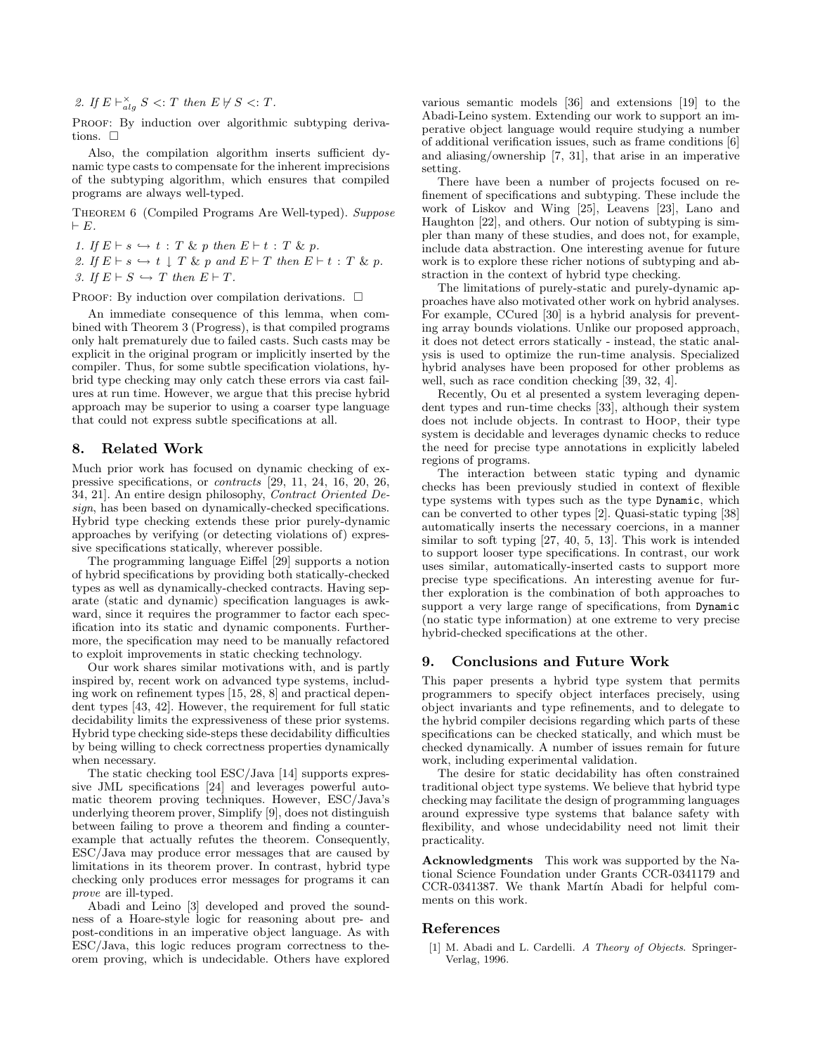2. If  $E \vdash_{alg}^{\times} S \le T$  then  $E \not\vdash S \le T$ .

PROOF: By induction over algorithmic subtyping derivations.  $\square$ 

Also, the compilation algorithm inserts sufficient dynamic type casts to compensate for the inherent imprecisions of the subtyping algorithm, which ensures that compiled programs are always well-typed.

Theorem 6 (Compiled Programs Are Well-typed). Suppose  $\vdash E$ .

1. If  $E \vdash s \hookrightarrow t : T \& p$  then  $E \vdash t : T \& p$ . 2. If  $E \vdash s \hookrightarrow t \downarrow T \& p$  and  $E \vdash T$  then  $E \vdash t : T \& p$ . 3. If  $E \vdash S \hookrightarrow T$  then  $E \vdash T$ .

PROOF: By induction over compilation derivations.  $\Box$ 

An immediate consequence of this lemma, when combined with Theorem 3 (Progress), is that compiled programs only halt prematurely due to failed casts. Such casts may be explicit in the original program or implicitly inserted by the compiler. Thus, for some subtle specification violations, hybrid type checking may only catch these errors via cast failures at run time. However, we argue that this precise hybrid approach may be superior to using a coarser type language that could not express subtle specifications at all.

# 8. Related Work

Much prior work has focused on dynamic checking of expressive specifications, or contracts [29, 11, 24, 16, 20, 26, 34, 21]. An entire design philosophy, Contract Oriented Design, has been based on dynamically-checked specifications. Hybrid type checking extends these prior purely-dynamic approaches by verifying (or detecting violations of) expressive specifications statically, wherever possible.

The programming language Eiffel [29] supports a notion of hybrid specifications by providing both statically-checked types as well as dynamically-checked contracts. Having separate (static and dynamic) specification languages is awkward, since it requires the programmer to factor each specification into its static and dynamic components. Furthermore, the specification may need to be manually refactored to exploit improvements in static checking technology.

Our work shares similar motivations with, and is partly inspired by, recent work on advanced type systems, including work on refinement types [15, 28, 8] and practical dependent types [43, 42]. However, the requirement for full static decidability limits the expressiveness of these prior systems. Hybrid type checking side-steps these decidability difficulties by being willing to check correctness properties dynamically when necessary.

The static checking tool ESC/Java [14] supports expressive JML specifications [24] and leverages powerful automatic theorem proving techniques. However, ESC/Java's underlying theorem prover, Simplify [9], does not distinguish between failing to prove a theorem and finding a counterexample that actually refutes the theorem. Consequently, ESC/Java may produce error messages that are caused by limitations in its theorem prover. In contrast, hybrid type checking only produces error messages for programs it can prove are ill-typed.

Abadi and Leino [3] developed and proved the soundness of a Hoare-style logic for reasoning about pre- and post-conditions in an imperative object language. As with ESC/Java, this logic reduces program correctness to theorem proving, which is undecidable. Others have explored

various semantic models [36] and extensions [19] to the Abadi-Leino system. Extending our work to support an imperative object language would require studying a number of additional verification issues, such as frame conditions [6] and aliasing/ownership [7, 31], that arise in an imperative setting.

There have been a number of projects focused on refinement of specifications and subtyping. These include the work of Liskov and Wing [25], Leavens [23], Lano and Haughton [22], and others. Our notion of subtyping is simpler than many of these studies, and does not, for example, include data abstraction. One interesting avenue for future work is to explore these richer notions of subtyping and abstraction in the context of hybrid type checking.

The limitations of purely-static and purely-dynamic approaches have also motivated other work on hybrid analyses. For example, CCured [30] is a hybrid analysis for preventing array bounds violations. Unlike our proposed approach, it does not detect errors statically - instead, the static analysis is used to optimize the run-time analysis. Specialized hybrid analyses have been proposed for other problems as well, such as race condition checking [39, 32, 4].

Recently, Ou et al presented a system leveraging dependent types and run-time checks [33], although their system does not include objects. In contrast to Hoop, their type system is decidable and leverages dynamic checks to reduce the need for precise type annotations in explicitly labeled regions of programs.

The interaction between static typing and dynamic checks has been previously studied in context of flexible type systems with types such as the type Dynamic, which can be converted to other types [2]. Quasi-static typing [38] automatically inserts the necessary coercions, in a manner similar to soft typing [27, 40, 5, 13]. This work is intended to support looser type specifications. In contrast, our work uses similar, automatically-inserted casts to support more precise type specifications. An interesting avenue for further exploration is the combination of both approaches to support a very large range of specifications, from Dynamic (no static type information) at one extreme to very precise hybrid-checked specifications at the other.

# 9. Conclusions and Future Work

This paper presents a hybrid type system that permits programmers to specify object interfaces precisely, using object invariants and type refinements, and to delegate to the hybrid compiler decisions regarding which parts of these specifications can be checked statically, and which must be checked dynamically. A number of issues remain for future work, including experimental validation.

The desire for static decidability has often constrained traditional object type systems. We believe that hybrid type checking may facilitate the design of programming languages around expressive type systems that balance safety with flexibility, and whose undecidability need not limit their practicality.

Acknowledgments This work was supported by the National Science Foundation under Grants CCR-0341179 and CCR-0341387. We thank Martín Abadi for helpful comments on this work.

# References

[1] M. Abadi and L. Cardelli. A Theory of Objects. Springer-Verlag, 1996.